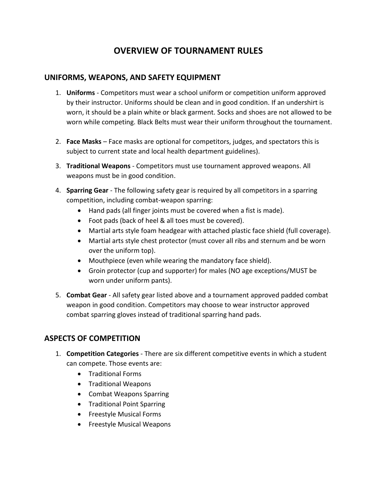# **OVERVIEW OF TOURNAMENT RULES**

### **UNIFORMS, WEAPONS, AND SAFETY EQUIPMENT**

- 1. **Uniforms** Competitors must wear a school uniform or competition uniform approved by their instructor. Uniforms should be clean and in good condition. If an undershirt is worn, it should be a plain white or black garment. Socks and shoes are not allowed to be worn while competing. Black Belts must wear their uniform throughout the tournament.
- 2. **Face Masks** Face masks are optional for competitors, judges, and spectators this is subject to current state and local health department guidelines).
- 3. **Traditional Weapons** Competitors must use tournament approved weapons. All weapons must be in good condition.
- 4. **Sparring Gear** The following safety gear is required by all competitors in a sparring competition, including combat-weapon sparring:
	- Hand pads (all finger joints must be covered when a fist is made).
	- Foot pads (back of heel & all toes must be covered).
	- Martial arts style foam headgear with attached plastic face shield (full coverage).
	- Martial arts style chest protector (must cover all ribs and sternum and be worn over the uniform top).
	- Mouthpiece (even while wearing the mandatory face shield).
	- Groin protector (cup and supporter) for males (NO age exceptions/MUST be worn under uniform pants).
- 5. **Combat Gear** All safety gear listed above and a tournament approved padded combat weapon in good condition. Competitors may choose to wear instructor approved combat sparring gloves instead of traditional sparring hand pads.

# **ASPECTS OF COMPETITION**

- 1. **Competition Categories** There are six different competitive events in which a student can compete. Those events are:
	- Traditional Forms
	- Traditional Weapons
	- Combat Weapons Sparring
	- Traditional Point Sparring
	- Freestyle Musical Forms
	- Freestyle Musical Weapons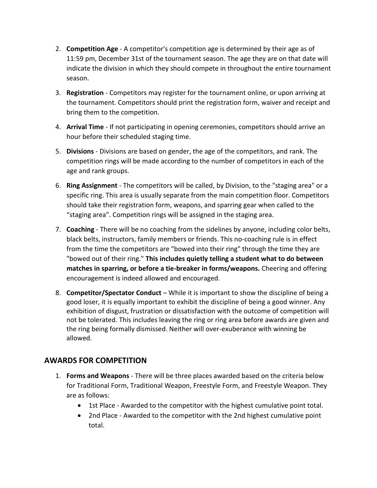- 2. **Competition Age** A competitor's competition age is determined by their age as of 11:59 pm, December 31st of the tournament season. The age they are on that date will indicate the division in which they should compete in throughout the entire tournament season.
- 3. **Registration** Competitors may register for the tournament online, or upon arriving at the tournament. Competitors should print the registration form, waiver and receipt and bring them to the competition.
- 4. **Arrival Time**  If not participating in opening ceremonies, competitors should arrive an hour before their scheduled staging time.
- 5. **Divisions**  Divisions are based on gender, the age of the competitors, and rank. The competition rings will be made according to the number of competitors in each of the age and rank groups.
- 6. **Ring Assignment**  The competitors will be called, by Division, to the "staging area" or a specific ring. This area is usually separate from the main competition floor. Competitors should take their registration form, weapons, and sparring gear when called to the "staging area". Competition rings will be assigned in the staging area.
- 7. **Coaching**  There will be no coaching from the sidelines by anyone, including color belts, black belts, instructors, family members or friends. This no-coaching rule is in effect from the time the competitors are "bowed into their ring" through the time they are "bowed out of their ring." **This includes quietly telling a student what to do between matches in sparring, or before a tie-breaker in forms/weapons.** Cheering and offering encouragement is indeed allowed and encouraged.
- 8. **Competitor/Spectator Conduct** While it is important to show the discipline of being a good loser, it is equally important to exhibit the discipline of being a good winner. Any exhibition of disgust, frustration or dissatisfaction with the outcome of competition will not be tolerated. This includes leaving the ring or ring area before awards are given and the ring being formally dismissed. Neither will over-exuberance with winning be allowed.

### **AWARDS FOR COMPETITION**

- 1. **Forms and Weapons**  There will be three places awarded based on the criteria below for Traditional Form, Traditional Weapon, Freestyle Form, and Freestyle Weapon. They are as follows:
	- 1st Place Awarded to the competitor with the highest cumulative point total.
	- 2nd Place Awarded to the competitor with the 2nd highest cumulative point total.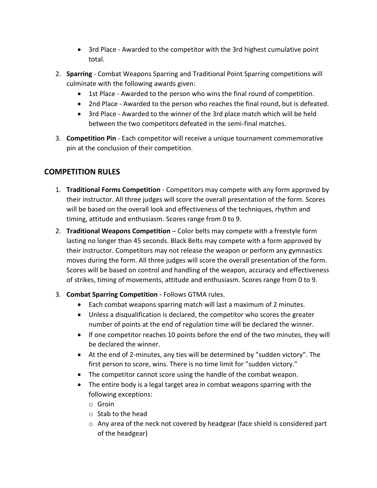- 3rd Place Awarded to the competitor with the 3rd highest cumulative point total.
- 2. **Sparring**  Combat Weapons Sparring and Traditional Point Sparring competitions will culminate with the following awards given:
	- 1st Place Awarded to the person who wins the final round of competition.
	- 2nd Place Awarded to the person who reaches the final round, but is defeated.
	- 3rd Place Awarded to the winner of the 3rd place match which will be held between the two competitors defeated in the semi-final matches.
- 3. **Competition Pin**  Each competitor will receive a unique tournament commemorative pin at the conclusion of their competition.

# **COMPETITION RULES**

- 1. **Traditional Forms Competition** Competitors may compete with any form approved by their instructor. All three judges will score the overall presentation of the form. Scores will be based on the overall look and effectiveness of the techniques, rhythm and timing, attitude and enthusiasm. Scores range from 0 to 9.
- 2. **Traditional Weapons Competition** Color belts may compete with a freestyle form lasting no longer than 45 seconds. Black Belts may compete with a form approved by their instructor. Competitors may not release the weapon or perform any gymnastics moves during the form. All three judges will score the overall presentation of the form. Scores will be based on control and handling of the weapon, accuracy and effectiveness of strikes, timing of movements, attitude and enthusiasm. Scores range from 0 to 9.
- 3. **Combat Sparring Competition** Follows GTMA rules.
	- Each combat weapons sparring match will last a maximum of 2 minutes.
	- Unless a disqualification is declared, the competitor who scores the greater number of points at the end of regulation time will be declared the winner.
	- If one competitor reaches 10 points before the end of the two minutes, they will be declared the winner.
	- At the end of 2-minutes, any ties will be determined by "sudden victory". The first person to score, wins. There is no time limit for "sudden victory."
	- The competitor cannot score using the handle of the combat weapon.
	- The entire body is a legal target area in combat weapons sparring with the following exceptions:
		- o Groin
		- $\circ$  Stab to the head
		- o Any area of the neck not covered by headgear (face shield is considered part of the headgear)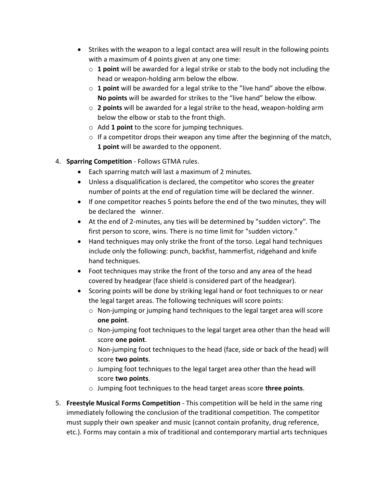- Strikes with the weapon to a legal contact area will result in the following points with a maximum of 4 points given at any one time:
	- $\circ$  **1 point** will be awarded for a legal strike or stab to the body not including the head or weapon-holding arm below the elbow.
	- o **1 point** will be awarded for a legal strike to the "live hand" above the elbow. **No points** will be awarded for strikes to the "live hand" below the elbow.
	- o **2 points** will be awarded for a legal strike to the head, weapon-holding arm below the elbow or stab to the front thigh.
	- o Add **1 point** to the score for jumping techniques.
	- $\circ$  If a competitor drops their weapon any time after the beginning of the match, **1 point** will be awarded to the opponent.
- 4. **Sparring Competition** Follows GTMA rules.
	- Each sparring match will last a maximum of 2 minutes.
	- Unless a disqualification is declared, the competitor who scores the greater number of points at the end of regulation time will be declared the winner.
	- If one competitor reaches 5 points before the end of the two minutes, they will be declared the winner.
	- At the end of 2-minutes, any ties will be determined by "sudden victory". The first person to score, wins. There is no time limit for "sudden victory."
	- Hand techniques may only strike the front of the torso. Legal hand techniques include only the following: punch, backfist, hammerfist, ridgehand and knife hand techniques.
	- Foot techniques may strike the front of the torso and any area of the head covered by headgear (face shield is considered part of the headgear).
	- Scoring points will be done by striking legal hand or foot techniques to or near the legal target areas. The following techniques will score points:
		- o Non-jumping or jumping hand techniques to the legal target area will score **one point**.
		- $\circ$  Non-jumping foot techniques to the legal target area other than the head will score **one point**.
		- $\circ$  Non-jumping foot techniques to the head (face, side or back of the head) will score **two points**.
		- o Jumping foot techniques to the legal target area other than the head will score **two points**.
		- o Jumping foot techniques to the head target areas score **three points**.
- 5. **Freestyle Musical Forms Competition** This competition will be held in the same ring immediately following the conclusion of the traditional competition. The competitor must supply their own speaker and music (cannot contain profanity, drug reference, etc.). Forms may contain a mix of traditional and contemporary martial arts techniques